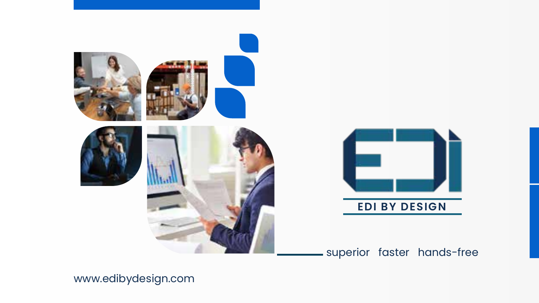



### superior faster hands-free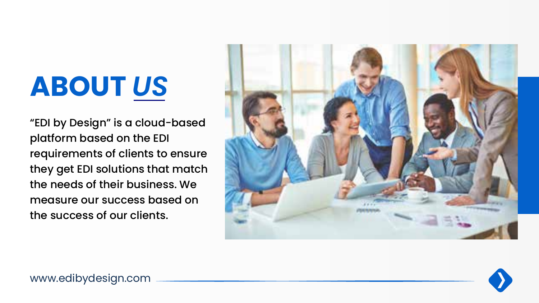## **ABOUT** *US*

"EDI by Design" is a cloud-based platform based on the EDI requirements of clients to ensure they get EDI solutions that match the needs of their business. We measure our success based on the success of our clients.



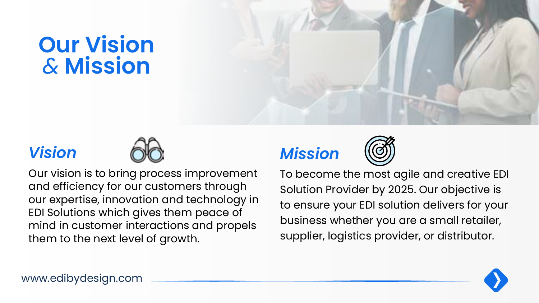### **Our Vision**  *&* **Mission**





Our vision is to bring process improvement and efficiency for our customers through our expertise, innovation and technology in EDI Solutions which gives them peace of mind in customer interactions and propels them to the next level of growth.

### *Vision Mission*



To become the most agile and creative EDI Solution Provider by 2025. Our objective is to ensure your EDI solution delivers for your business whether you are a small retailer, supplier, logistics provider, or distributor.

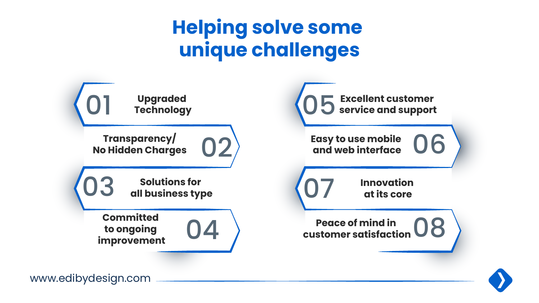### **Helping solve some unique challenges**



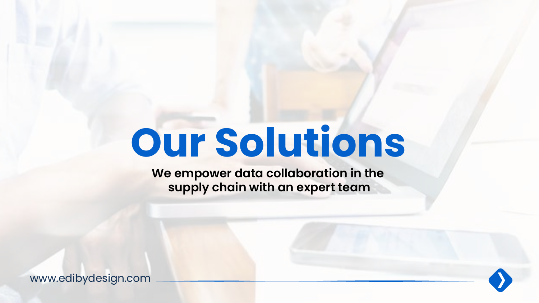**We empower data collaboration in the supply chain with an expert team**

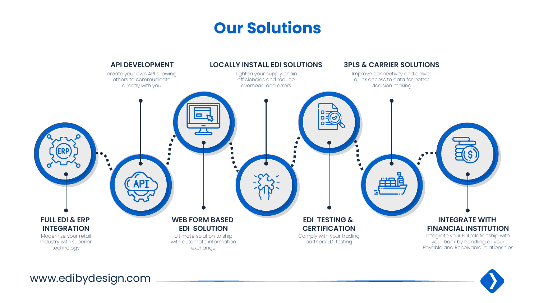

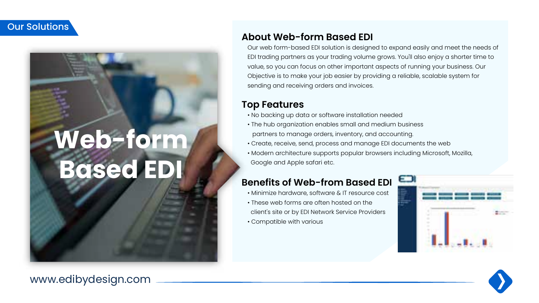## **Web-form Based ED**

### **About Web-form Based EDI**

Our web form-based EDI solution is designed to expand easily and meet the needs of EDI trading partners as your trading volume grows. You'll also enjoy a shorter time to value, so you can focus on other important aspects of running your business. Our Objective is to make your job easier by providing a reliable, scalable system for sending and receiving orders and invoices.

#### **Top Features**

- No backing up data or software installation needed
- The hub organization enables small and medium business partners to manage orders, inventory, and accounting.
- Create, receive, send, process and manage EDI documents the web
- Modern architecture supports popular browsers including Microsoft, Mozilla, Google and Apple safari etc.

### **Benefits of Web-from Based EDI**

- Minimize hardware, software & IT resource cost
- These web forms are often hosted on the client's site or by EDI Network Service Providers
- Compatible with various



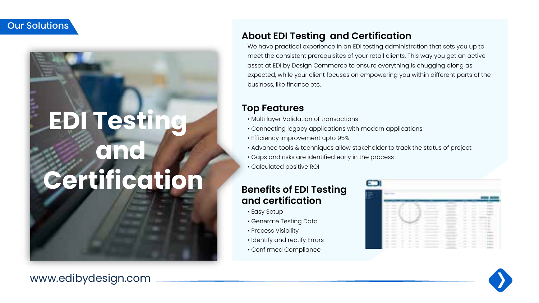## **EDI Testin and Certification**

www.edibydesign.com

#### expected, while your client focuses on empowering you within different parts of the business, like finance etc.

#### **Top Features**

- Multi layer Validation of transactions
- Connecting legacy applications with modern applications

**About EDI Testing and Certification**

- Efficiency improvement upto 95%
- Advance tools & techniques allow stakeholder to track the status of project

We have practical experience in an EDI testing administration that sets you up to meet the consistent prerequisites of your retail clients. This way you get an active asset at EDI by Design Commerce to ensure everything is chugging along as

- Gaps and risks are identified early in the process
- Calculated positive ROI

#### **Benefits of EDI Testing and certification**

- Easy Setup
- Generate Testing Data
- Process Visibility
- Identify and rectify Errors
- Confirmed Compliance



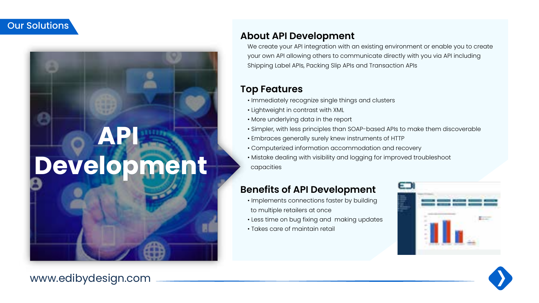### **API Development**

#### **About API Development**

We create your API integration with an existing environment or enable you to create your own API allowing others to communicate directly with you via API including Shipping Label APIs, Packing Slip APIs and Transaction APIs

#### **Top Features**

- Immediately recognize single things and clusters
- Lightweight in contrast with XML
- More underlying data in the report
- Simpler, with less principles than SOAP-based APIs to make them discoverable
- Embraces generally surely knew instruments of HTTP
- Computerized information accommodation and recovery
- Mistake dealing with visibility and logging for improved troubleshoot capacities

### **Benefits of API Development**

- Implements connections faster by building to multiple retailers at once
- Less time on bug fixing and making updates
- Takes care of maintain retail



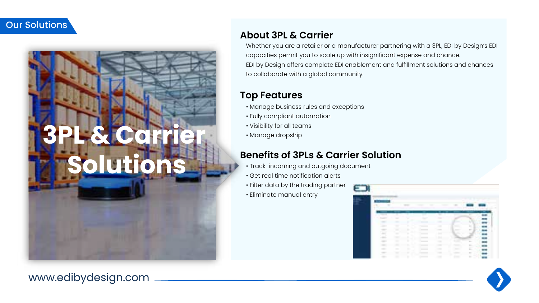

### **About 3PL & Carrier**

Whether you are a retailer or a manufacturer partnering with a 3PL, EDI by Design's EDI capacities permit you to scale up with insignificant expense and chance. EDI by Design offers complete EDI enablement and fulfillment solutions and chances to collaborate with a global community.

#### **Top Features**

- Manage business rules and exceptions
- Fully compliant automation
- Visibility for all teams
- Manage dropship

### **Benefits of 3PLs & Carrier Solution**

- Track incoming and outgoing document
- Get real time notification alerts
- Filter data by the trading partner
- Eliminate manual entry



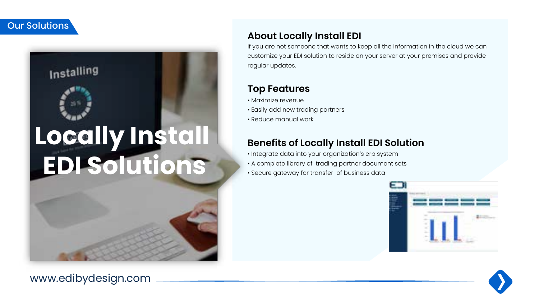Installing

## **Locally Install EDI Solutions**

### **About Locally Install EDI**

If you are not someone that wants to keep all the information in the cloud we can customize your EDI solution to reside on your server at your premises and provide regular updates.

### **Top Features**

- Maximize revenue
- Easily add new trading partners
- Reduce manual work

### **Benefits of Locally Install EDI Solution**

- Integrate data into your organization's erp system
- A complete library of trading partner document sets
- Secure gateway for transfer of business data



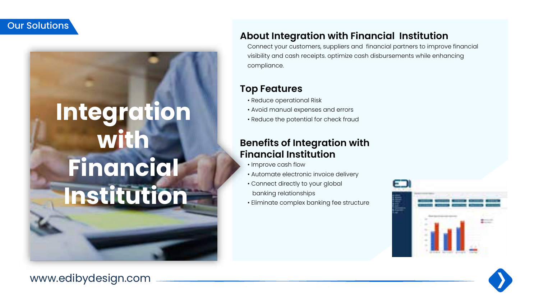## **Integration with Financial Institution**

### www.edibydesign.com

#### **About Integration with Financial Institution**

Connect your customers, suppliers and financial partners to improve financial visibility and cash receipts. optimize cash disbursements while enhancing compliance.

#### **Top Features**

- Reduce operational Risk
- Avoid manual expenses and errors
- Reduce the potential for check fraud

### **Benefits of Integration with Financial Institution**

- Improve cash flow
- Automate electronic invoice delivery
- Connect directly to your global
- banking relationships
- Eliminate complex banking fee structure



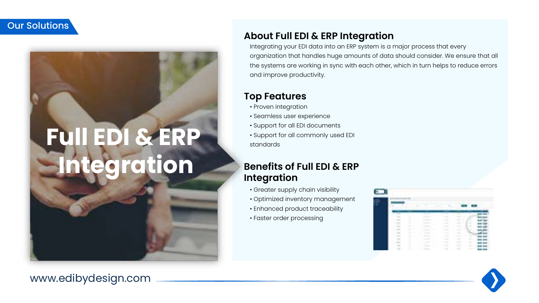## **Full EDI & ERP Integration**

#### **About Full EDI & ERP Integration**

Integrating your EDI data into an ERP system is a major process that every organization that handles huge amounts of data should consider. We ensure that all the systems are working in sync with each other, which in turn helps to reduce errors and improve productivity.

#### **Top Features**

- Proven integration
- Seamless user experience
- Support for all EDI documents
- Support for all commonly used EDI standards

### **Benefits of Full EDI & ERP Integration**

- Greater supply chain visibility
- Optimized inventory management
- Enhanced product traceability
- Faster order processing



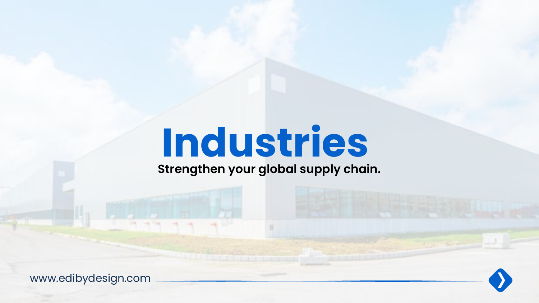# **Industries**

**Strengthen your global supply chain.**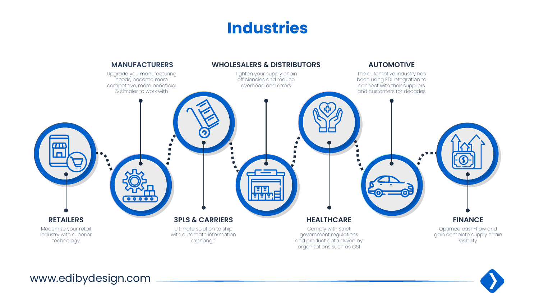### **Industries**



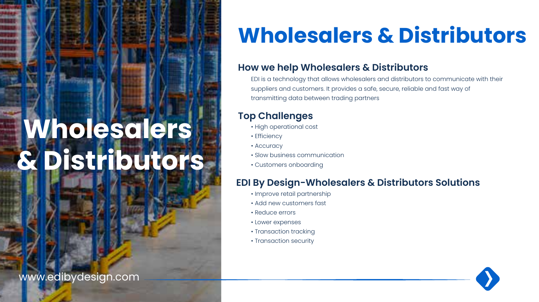## **Wholesalers & Distributors**

www.edibydesign.com

### **Wholesalers & Distributors**

### **How we help Wholesalers & Distributors**

EDI is a technology that allows wholesalers and distributors to communicate with their suppliers and customers. It provides a safe, secure, reliable and fast way of transmitting data between trading partners

### **Top Challenges**

- High operational cost
- Efficiency
- Accuracy
- Slow business communication
- Customers onboarding

### **EDI By Design-Wholesalers & Distributors Solutions**

- Improve retail partnership
- Add new customers fast
- Reduce errors
- Lower expenses
- Transaction tracking
- Transaction security

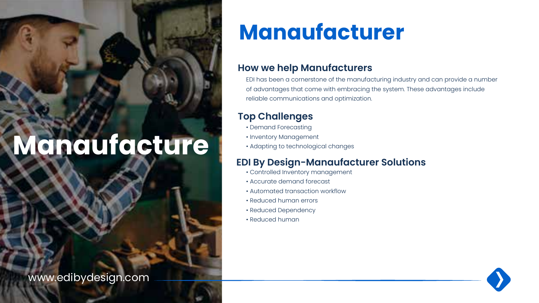### **Manaufacture**

www.edibydesign.com

### **Manaufacturer**

#### **How we help Manufacturers**

EDI has been a cornerstone of the manufacturing industry and can provide a number of advantages that come with embracing the system. These advantages include reliable communications and optimization.

### **Top Challenges**

- Demand Forecasting
- Inventory Management
- Adapting to technological changes

### **EDI By Design-Manaufacturer Solutions**

- Controlled Inventory management
- Accurate demand forecast
- Automated transaction workflow
- Reduced human errors
- Reduced Dependency
- Reduced human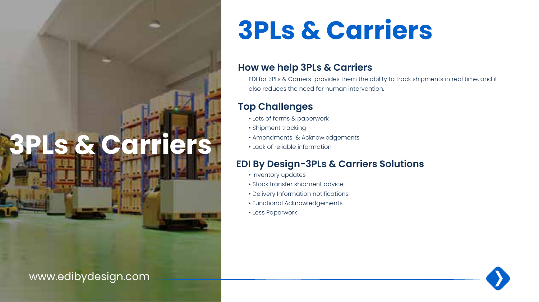### **3PLs & Carriers**

### www.edibydesign.com

### **3PLs & Carriers**

#### **How we help 3PLs & Carriers**

EDI for 3PLs & Carriers provides them the ability to track shipments in real time, and it also reduces the need for human intervention.

### **Top Challenges**

- Lots of forms & paperwork
- Shipment tracking
- Amendments & Acknowledgements
- Lack of reliable information

### **EDI By Design-3PLs & Carriers Solutions**

- Inventory updates
- Stock transfer shipment advice
- Delivery Information notifications
- Functional Acknowledgements
- Less Paperwork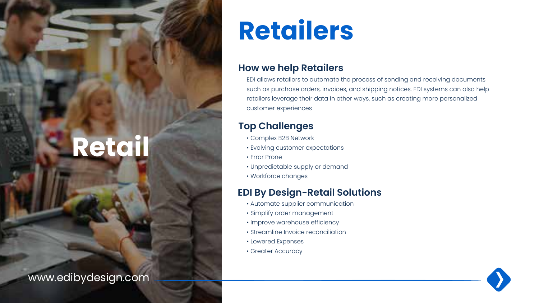### **Retail**

www.edibydesign.com

### **Retailers**

#### **How we help Retailers**

EDI allows retailers to automate the process of sending and receiving documents such as purchase orders, invoices, and shipping notices. EDI systems can also help retailers leverage their data in other ways, such as creating more personalized customer experiences

### **Top Challenges**

- Complex B2B Network
- Evolving customer expectations
- Error Prone
- Unpredictable supply or demand
- Workforce changes

### **EDI By Design-Retail Solutions**

- Automate supplier communication
- Simplify order management
- Improve warehouse efficiency
- Streamline Invoice reconciliation
- Lowered Expenses
- Greater Accuracy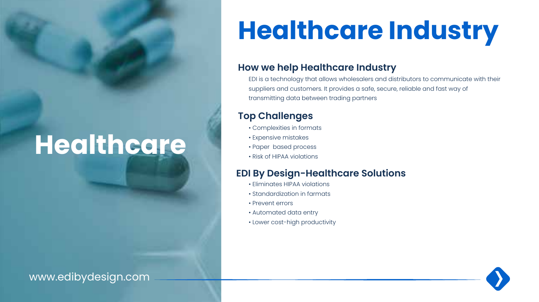### **Healthcare**

### www.edibydesign.com

## **Healthcare Industry**

#### **How we help Healthcare Industry**

EDI is a technology that allows wholesalers and distributors to communicate with their suppliers and customers. It provides a safe, secure, reliable and fast way of transmitting data between trading partners

### **Top Challenges**

- Complexities in formats
- Expensive mistakes
- Paper based process
- Risk of HIPAA violations

### **EDI By Design-Healthcare Solutions**

- Eliminates HIPAA violations
- Standardization in farmats
- Prevent errors
- Automated data entry
- Lower cost-high productivity

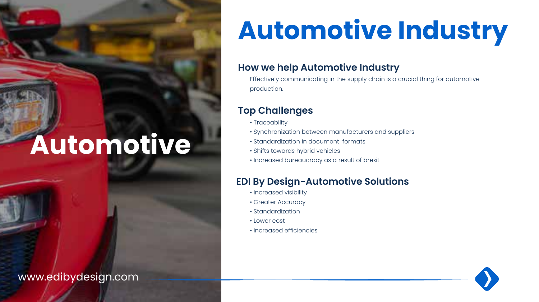### **Automotive**

www.edibydesign.com

### **Automotive Industry**

#### **How we help Automotive Industry**

Effectively communicating in the supply chain is a crucial thing for automotive production.

### **Top Challenges**

- Traceability
- Synchronization between manufacturers and suppliers
- Standardization in document formats
- Shifts towards hybrid vehicles
- Increased bureaucracy as a result of brexit

### **EDI By Design-Automotive Solutions**

- Increased visibility
- Greater Accuracy
- Standardization
- Lower cost
- Increased efficiencies

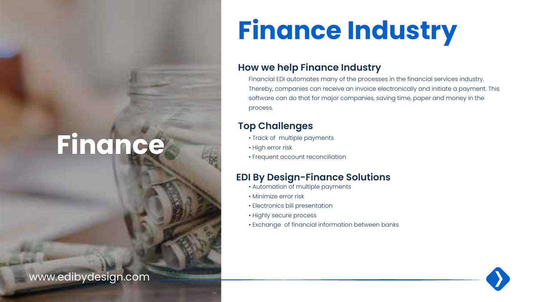## **Finance**

www.edibydesign.com

## **Finance Industry**

#### **How we help Finance Industry**

Financial EDI automates many of the processes in the financial services industry. Thereby, companies can receive an invoice electronically and initiate a payment. This software can do that for major companies, saving time, paper and money in the process.

### **Top Challenges**

- Track of multiple payments
- High error risk
- Frequent account reconciliation

### **EDI By Design-Finance Solutions**

- Automation of multiple payments
- Minimize error risk
- Electronics bill presentation
- Highly secure process
- Exchange of financial information between banks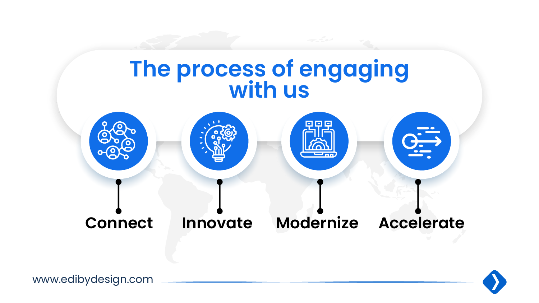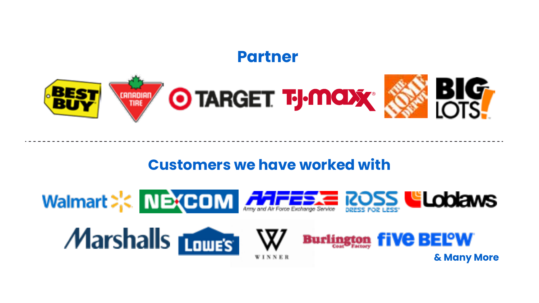### **Partner**



### **Customers we have worked with**







**& Many More**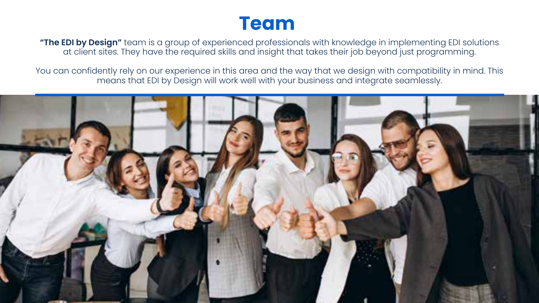### **Team**

**"The EDI by Design"** team is a group of experienced professionals with knowledge in implementing EDI solutions at client sites. They have the required skills and insight that takes their job beyond just programming.

You can confidently rely on our experience in this area and the way that we design with compatibility in mind. This means that EDI by Design will work well with your business and integrate seamlessly.